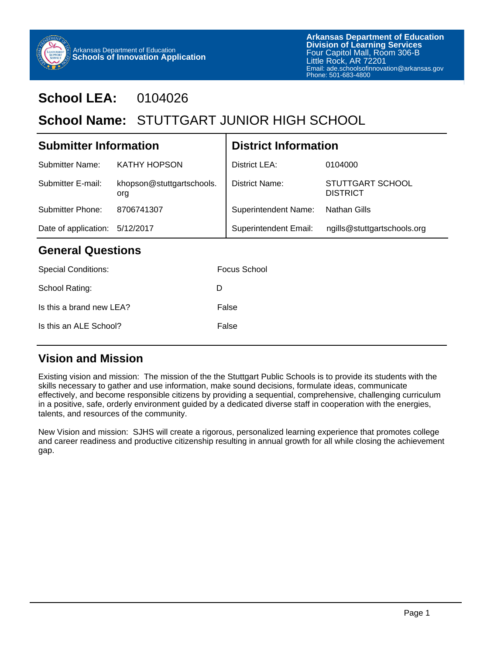

## **School LEA:** 0104026

# School Name: STUTTGART JUNIOR HIGH SCHOOL

| <b>Submitter Information</b> |                                  | <b>District Information</b>  |                                     |  |  |
|------------------------------|----------------------------------|------------------------------|-------------------------------------|--|--|
| Submitter Name:              | <b>KATHY HOPSON</b>              | District LEA:                | 0104000                             |  |  |
| Submitter E-mail:            | khopson@stuttgartschools.<br>org | District Name:               | STUTTGART SCHOOL<br><b>DISTRICT</b> |  |  |
| Submitter Phone:             | 8706741307                       | <b>Superintendent Name:</b>  | <b>Nathan Gills</b>                 |  |  |
| Date of application:         | 5/12/2017                        | <b>Superintendent Email:</b> | ngills@stuttgartschools.org         |  |  |
| <b>General Questions</b>     |                                  |                              |                                     |  |  |
| <b>Special Conditions:</b>   |                                  | Focus School                 |                                     |  |  |

| School Rating:           | D     |
|--------------------------|-------|
| Is this a brand new LEA? | False |
| Is this an ALE School?   | False |

#### **Vision and Mission**

Existing vision and mission: The mission of the the Stuttgart Public Schools is to provide its students with the skills necessary to gather and use information, make sound decisions, formulate ideas, communicate effectively, and become responsible citizens by providing a sequential, comprehensive, challenging curriculum in a positive, safe, orderly environment guided by a dedicated diverse staff in cooperation with the energies, talents, and resources of the community.

New Vision and mission: SJHS will create a rigorous, personalized learning experience that promotes college and career readiness and productive citizenship resulting in annual growth for all while closing the achievement gap.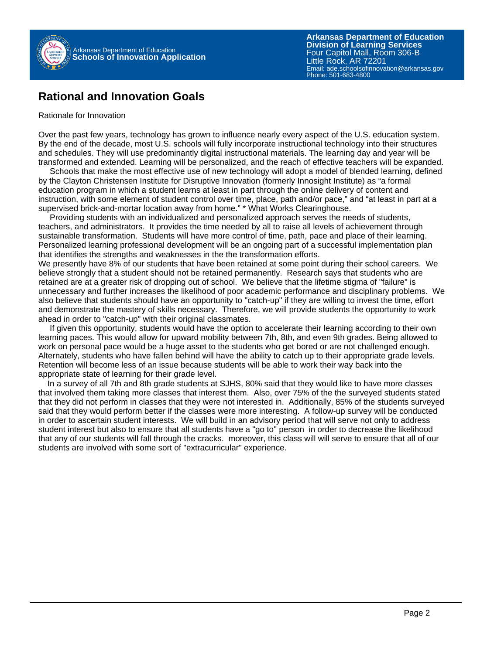

**Arkansas Department of Education** Email: ade.schoolsofinnovation@arkansas.gov **Division of Learning Services** Four Capitol Mall, Room 306-B Little Rock, AR 72201 Phone: 501-683-4800

#### **Rational and Innovation Goals**

#### Rationale for Innovation

Over the past few years, technology has grown to influence nearly every aspect of the U.S. education system. By the end of the decade, most U.S. schools will fully incorporate instructional technology into their structures and schedules. They will use predominantly digital instructional materials. The learning day and year will be transformed and extended. Learning will be personalized, and the reach of effective teachers will be expanded.

 Schools that make the most effective use of new technology will adopt a model of blended learning, defined by the Clayton Christensen Institute for Disruptive Innovation (formerly Innosight Institute) as "a formal education program in which a student learns at least in part through the online delivery of content and instruction, with some element of student control over time, place, path and/or pace," and "at least in part at a supervised brick-and-mortar location away from home." \* What Works Clearinghouse.

 Providing students with an individualized and personalized approach serves the needs of students, teachers, and administrators. It provides the time needed by all to raise all levels of achievement through sustainable transformation. Students will have more control of time, path, pace and place of their learning. Personalized learning professional development will be an ongoing part of a successful implementation plan that identifies the strengths and weaknesses in the the transformation efforts.

We presently have 8% of our students that have been retained at some point during their school careers. We believe strongly that a student should not be retained permanently. Research says that students who are retained are at a greater risk of dropping out of school. We believe that the lifetime stigma of "failure" is unnecessary and further increases the likelihood of poor academic performance and disciplinary problems. We also believe that students should have an opportunity to "catch-up" if they are willing to invest the time, effort and demonstrate the mastery of skills necessary. Therefore, we will provide students the opportunity to work ahead in order to "catch-up" with their original classmates.

 If given this opportunity, students would have the option to accelerate their learning according to their own learning paces. This would allow for upward mobility between 7th, 8th, and even 9th grades. Being allowed to work on personal pace would be a huge asset to the students who get bored or are not challenged enough. Alternately, students who have fallen behind will have the ability to catch up to their appropriate grade levels. Retention will become less of an issue because students will be able to work their way back into the appropriate state of learning for their grade level.

 In a survey of all 7th and 8th grade students at SJHS, 80% said that they would like to have more classes that involved them taking more classes that interest them. Also, over 75% of the the surveyed students stated that they did not perform in classes that they were not interested in. Additionally, 85% of the students surveyed said that they would perform better if the classes were more interesting. A follow-up survey will be conducted in order to ascertain student interests. We will build in an advisory period that will serve not only to address student interest but also to ensure that all students have a "go to" person in order to decrease the likelihood that any of our students will fall through the cracks. moreover, this class will will serve to ensure that all of our students are involved with some sort of "extracurricular" experience.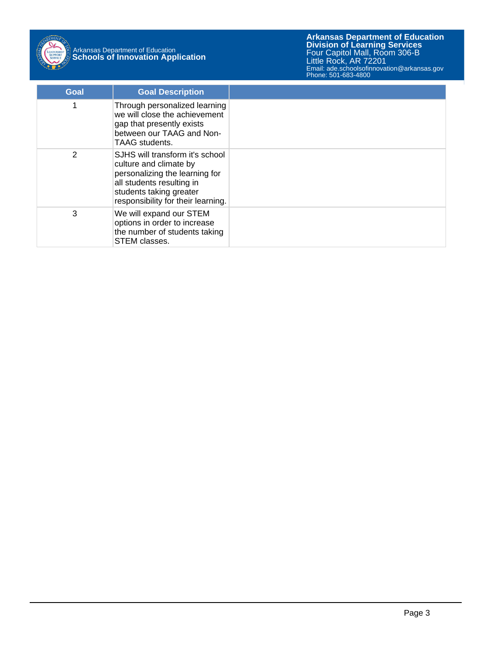

# Arkansas Department of Education **Schools of Innovation Application**

**Arkansas Department of Education** Email: ade.schoolsofinnovation@arkansas.gov **Division of Learning Services** Four Capitol Mall, Room 306-B Little Rock, AR 72201 Phone: 501-683-4800

| Goal | <b>Goal Description</b>                                                                                                                                                                   |  |
|------|-------------------------------------------------------------------------------------------------------------------------------------------------------------------------------------------|--|
|      | Through personalized learning<br>we will close the achievement<br>gap that presently exists<br>between our TAAG and Non-<br>TAAG students.                                                |  |
| 2    | SJHS will transform it's school<br>culture and climate by<br>personalizing the learning for<br>all students resulting in<br>students taking greater<br>responsibility for their learning. |  |
| 3    | We will expand our STEM<br>options in order to increase<br>the number of students taking<br>STEM classes.                                                                                 |  |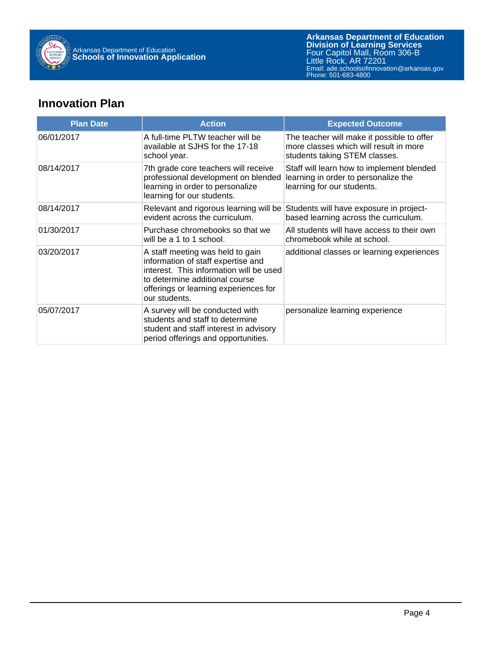

**Arkansas Department of Education** Email: ade.schoolsofinnovation@arkansas.gov **Division of Learning Services** Four Capitol Mall, Room 306-B Little Rock, AR 72201 Phone: 501-683-4800

### **Innovation Plan**

| <b>Plan Date</b> | <b>Action</b>                                                                                                                                                                                                 | <b>Expected Outcome</b>                                                                                               |
|------------------|---------------------------------------------------------------------------------------------------------------------------------------------------------------------------------------------------------------|-----------------------------------------------------------------------------------------------------------------------|
| 06/01/2017       | A full-time PLTW teacher will be<br>available at SJHS for the 17-18<br>school year.                                                                                                                           | The teacher will make it possible to offer<br>more classes which will result in more<br>students taking STEM classes. |
| 08/14/2017       | 7th grade core teachers will receive<br>professional development on blended<br>learning in order to personalize<br>learning for our students.                                                                 | Staff will learn how to implement blended<br>learning in order to personalize the<br>learning for our students.       |
| 08/14/2017       | Relevant and rigorous learning will be<br>evident across the curriculum.                                                                                                                                      | Students will have exposure in project-<br>based learning across the curriculum.                                      |
| 01/30/2017       | Purchase chromebooks so that we<br>will be a 1 to 1 school.                                                                                                                                                   | All students will have access to their own<br>chromebook while at school.                                             |
| 03/20/2017       | A staff meeting was held to gain<br>information of staff expertise and<br>interest. This information will be used<br>to determine additional course<br>offerings or learning experiences for<br>our students. | additional classes or learning experiences                                                                            |
| 05/07/2017       | A survey will be conducted with<br>students and staff to determine<br>student and staff interest in advisory<br>period offerings and opportunities.                                                           | personalize learning experience                                                                                       |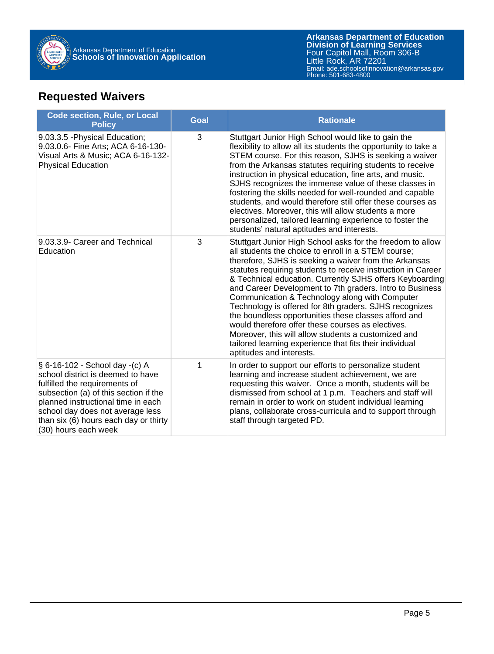

### **Requested Waivers**

| <b>Code section, Rule, or Local</b><br><b>Policy</b>                                                                                                                                                                                                                                     | <b>Goal</b> | <b>Rationale</b>                                                                                                                                                                                                                                                                                                                                                                                                                                                                                                                                                                                                                                                                                                                          |
|------------------------------------------------------------------------------------------------------------------------------------------------------------------------------------------------------------------------------------------------------------------------------------------|-------------|-------------------------------------------------------------------------------------------------------------------------------------------------------------------------------------------------------------------------------------------------------------------------------------------------------------------------------------------------------------------------------------------------------------------------------------------------------------------------------------------------------------------------------------------------------------------------------------------------------------------------------------------------------------------------------------------------------------------------------------------|
| 9.03.3.5 - Physical Education;<br>9.03.0.6- Fine Arts; ACA 6-16-130-<br>Visual Arts & Music; ACA 6-16-132-<br><b>Physical Education</b>                                                                                                                                                  | 3           | Stuttgart Junior High School would like to gain the<br>flexibility to allow all its students the opportunity to take a<br>STEM course. For this reason, SJHS is seeking a waiver<br>from the Arkansas statutes requiring students to receive<br>instruction in physical education, fine arts, and music.<br>SJHS recognizes the immense value of these classes in<br>fostering the skills needed for well-rounded and capable<br>students, and would therefore still offer these courses as<br>electives. Moreover, this will allow students a more<br>personalized, tailored learning experience to foster the<br>students' natural aptitudes and interests.                                                                             |
| 9.03.3.9- Career and Technical<br>Education                                                                                                                                                                                                                                              | 3           | Stuttgart Junior High School asks for the freedom to allow<br>all students the choice to enroll in a STEM course;<br>therefore, SJHS is seeking a waiver from the Arkansas<br>statutes requiring students to receive instruction in Career<br>& Technical education. Currently SJHS offers Keyboarding<br>and Career Development to 7th graders. Intro to Business<br>Communication & Technology along with Computer<br>Technology is offered for 8th graders. SJHS recognizes<br>the boundless opportunities these classes afford and<br>would therefore offer these courses as electives.<br>Moreover, this will allow students a customized and<br>tailored learning experience that fits their individual<br>aptitudes and interests. |
| § 6-16-102 - School day -(c) A<br>school district is deemed to have<br>fulfilled the requirements of<br>subsection (a) of this section if the<br>planned instructional time in each<br>school day does not average less<br>than six (6) hours each day or thirty<br>(30) hours each week | 1           | In order to support our efforts to personalize student<br>learning and increase student achievement, we are<br>requesting this waiver. Once a month, students will be<br>dismissed from school at 1 p.m. Teachers and staff will<br>remain in order to work on student individual learning<br>plans, collaborate cross-curricula and to support through<br>staff through targeted PD.                                                                                                                                                                                                                                                                                                                                                     |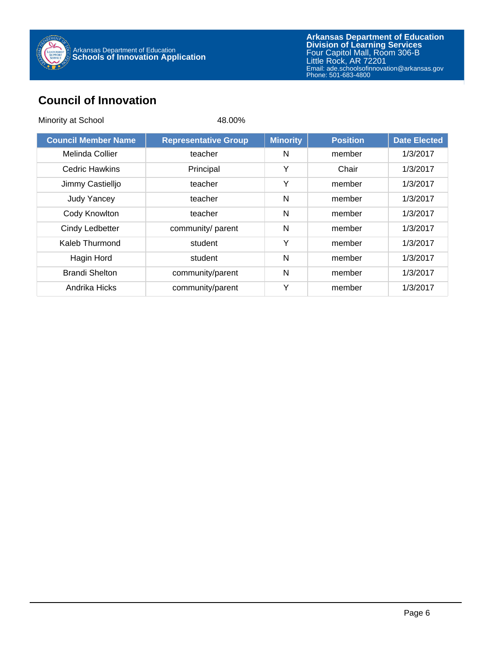

### **Council of Innovation**

| Minority at School         | 48.00%                      |                 |                 |                     |
|----------------------------|-----------------------------|-----------------|-----------------|---------------------|
| <b>Council Member Name</b> | <b>Representative Group</b> | <b>Minority</b> | <b>Position</b> | <b>Date Elected</b> |
| Melinda Collier            | teacher                     | N               | member          | 1/3/2017            |
| <b>Cedric Hawkins</b>      | Principal                   | Υ               | Chair           | 1/3/2017            |
| Jimmy Castielljo           | teacher                     | Y               | member          | 1/3/2017            |
| <b>Judy Yancey</b>         | teacher                     | N               | member          | 1/3/2017            |
| Cody Knowlton              | teacher                     | N               | member          | 1/3/2017            |
| Cindy Ledbetter            | community/ parent           | N               | member          | 1/3/2017            |
| Kaleb Thurmond             | student                     | Y               | member          | 1/3/2017            |
| Hagin Hord                 | student                     | N               | member          | 1/3/2017            |
| <b>Brandi Shelton</b>      | community/parent            | N               | member          | 1/3/2017            |
| Andrika Hicks              | community/parent            | Υ               | member          | 1/3/2017            |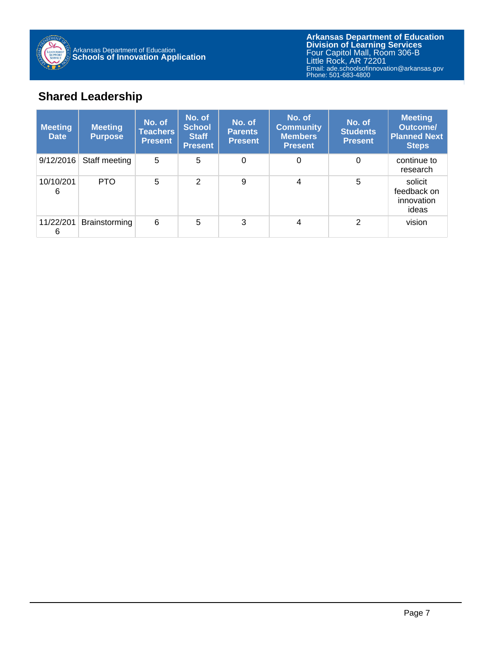

**Arkansas Department of Education** Email: ade.schoolsofinnovation@arkansas.gov **Division of Learning Services** Four Capitol Mall, Room 306-B Little Rock, AR 72201 Phone: 501-683-4800

### **Shared Leadership**

| <b>Meeting</b><br><b>Date</b> | <b>Meeting</b><br><b>Purpose</b> | No. of<br>Teachers  <br><b>Present</b> | No. of<br><b>School</b><br><b>Staff</b><br><b>Present</b> | No. of<br><b>Parents</b><br><b>Present</b> | No. of<br><b>Community</b><br><b>Members</b><br><b>Present</b> | No. of<br><b>Students</b><br><b>Present</b> | <b>Meeting</b><br><b>Outcome/</b><br><b>Planned Next</b><br><b>Steps</b> |
|-------------------------------|----------------------------------|----------------------------------------|-----------------------------------------------------------|--------------------------------------------|----------------------------------------------------------------|---------------------------------------------|--------------------------------------------------------------------------|
| 9/12/2016                     | Staff meeting                    | 5                                      | 5                                                         | $\Omega$                                   | $\Omega$                                                       | 0                                           | continue to<br>research                                                  |
| 10/10/201<br>6                | <b>PTO</b>                       | 5                                      | $\overline{2}$                                            | 9                                          | 4                                                              | 5                                           | solicit<br>feedback on<br>innovation<br>ideas                            |
| 11/22/201<br>6                | <b>Brainstorming</b>             | 6                                      | 5                                                         | 3                                          | 4                                                              | 2                                           | vision                                                                   |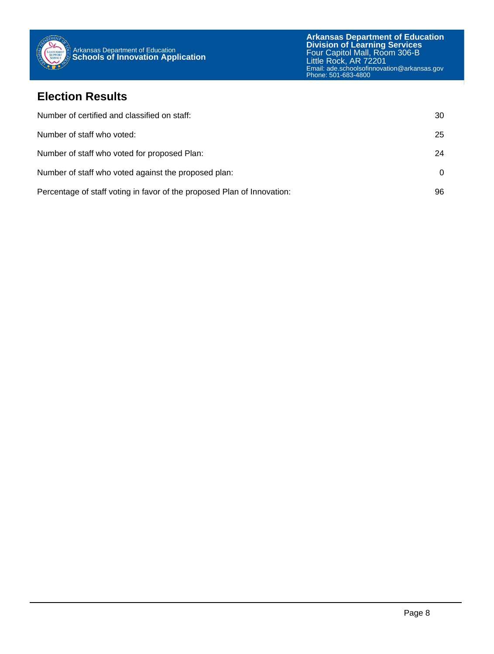

#### **Election Results**

| Number of certified and classified on staff:                            | 30 |
|-------------------------------------------------------------------------|----|
| Number of staff who voted:                                              | 25 |
| Number of staff who voted for proposed Plan:                            | 24 |
| Number of staff who voted against the proposed plan:                    | 0  |
| Percentage of staff voting in favor of the proposed Plan of Innovation: | 96 |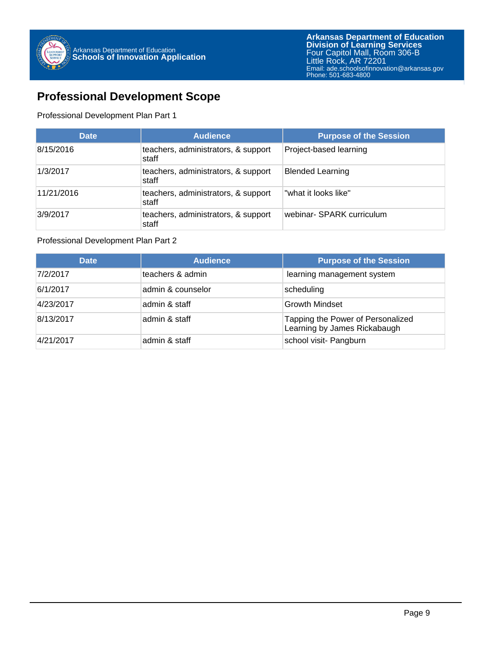

#### **Professional Development Scope**

Professional Development Plan Part 1

| <b>Date</b> | <b>Audience</b>                              | <b>Purpose of the Session</b> |
|-------------|----------------------------------------------|-------------------------------|
| 8/15/2016   | teachers, administrators, & support<br>staff | Project-based learning        |
| 1/3/2017    | teachers, administrators, & support<br>staff | <b>Blended Learning</b>       |
| 11/21/2016  | teachers, administrators, & support<br>staff | what it looks like"           |
| 3/9/2017    | teachers, administrators, & support<br>staff | webinar- SPARK curriculum     |

#### Professional Development Plan Part 2

| <b>Date</b> | <b>Audience</b>   | <b>Purpose of the Session</b>                                     |
|-------------|-------------------|-------------------------------------------------------------------|
| 7/2/2017    | teachers & admin  | learning management system                                        |
| 6/1/2017    | admin & counselor | scheduling                                                        |
| 4/23/2017   | admin & staff     | <b>Growth Mindset</b>                                             |
| 8/13/2017   | admin & staff     | Tapping the Power of Personalized<br>Learning by James Rickabaugh |
| 4/21/2017   | admin & staff     | school visit- Pangburn                                            |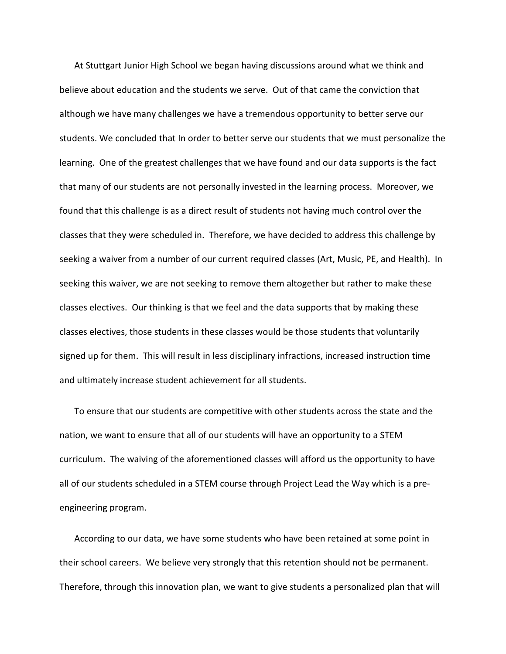At Stuttgart Junior High School we began having discussions around what we think and believe about education and the students we serve. Out of that came the conviction that although we have many challenges we have a tremendous opportunity to better serve our students. We concluded that In order to better serve our students that we must personalize the learning. One of the greatest challenges that we have found and our data supports is the fact that many of our students are not personally invested in the learning process. Moreover, we found that this challenge is as a direct result of students not having much control over the classes that they were scheduled in. Therefore, we have decided to address this challenge by seeking a waiver from a number of our current required classes (Art, Music, PE, and Health). In seeking this waiver, we are not seeking to remove them altogether but rather to make these classes electives. Our thinking is that we feel and the data supports that by making these classes electives, those students in these classes would be those students that voluntarily signed up for them. This will result in less disciplinary infractions, increased instruction time and ultimately increase student achievement for all students.

To ensure that our students are competitive with other students across the state and the nation, we want to ensure that all of our students will have an opportunity to a STEM curriculum. The waiving of the aforementioned classes will afford us the opportunity to have all of our students scheduled in a STEM course through Project Lead the Way which is a preengineering program.

According to our data, we have some students who have been retained at some point in their school careers. We believe very strongly that this retention should not be permanent. Therefore, through this innovation plan, we want to give students a personalized plan that will